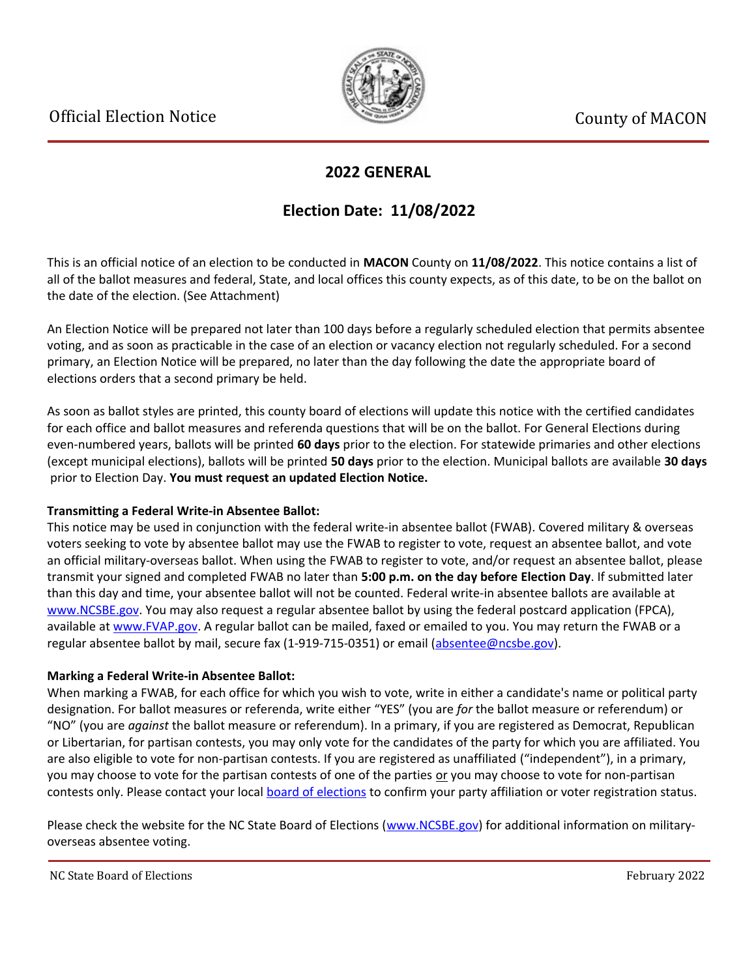

## **2022 GENERAL**

## **Election Date: 11/08/2022**

This is an official notice of an election to be conducted in **MACON** County on **11/08/2022**. This notice contains a list of all of the ballot measures and federal, State, and local offices this county expects, as of this date, to be on the ballot on the date of the election. (See Attachment)

An Election Notice will be prepared not later than 100 days before a regularly scheduled election that permits absentee voting, and as soon as practicable in the case of an election or vacancy election not regularly scheduled. For a second primary, an Election Notice will be prepared, no later than the day following the date the appropriate board of elections orders that a second primary be held.

As soon as ballot styles are printed, this county board of elections will update this notice with the certified candidates for each office and ballot measures and referenda questions that will be on the ballot. For General Elections during even-numbered years, ballots will be printed **60 days** prior to the election. For statewide primaries and other elections (except municipal elections), ballots will be printed **50 days** prior to the election. Municipal ballots are available **30 days** prior to Election Day. **You must request an updated Election Notice.**

### **Transmitting a Federal Write-in Absentee Ballot:**

This notice may be used in conjunction with the federal write-in absentee ballot (FWAB). Covered military & overseas voters seeking to vote by absentee ballot may use the FWAB to register to vote, request an absentee ballot, and vote an official military-overseas ballot. When using the FWAB to register to vote, and/or request an absentee ballot, please transmit your signed and completed FWAB no later than **5:00 p.m. on the day before Election Day**. If submitted later than this day and time, your absentee ballot will not be counted. Federal write-in absentee ballots are available at [www.NCSBE.gov.](https://www.ncsbe.gov/) You may also request a regular absentee ballot by using the federal postcard application (FPCA), available at [www.FVAP.gov](https://www.fvap.gov/). A regular ballot can be mailed, faxed or emailed to you. You may return the FWAB or a regular absentee ballot by mail, secure fax (1-919-715-0351) or email (absentee@ncsbe.gov).

### **Marking a Federal Write-in Absentee Ballot:**

When marking a FWAB, for each office for which you wish to vote, write in either a candidate's name or political party designation. For ballot measures or referenda, write either "YES" (you are *for* the ballot measure or referendum) or "NO" (you are *against* the ballot measure or referendum). In a primary, if you are registered as Democrat, Republican or Libertarian, for partisan contests, you may only vote for the candidates of the party for which you are affiliated. You are also eligible to vote for non-partisan contests. If you are registered as unaffiliated ("independent"), in a primary, you may choose to vote for the partisan contests of one of the parties or you may choose to vote for non-partisan contests only. Please contact your local [board of elections](https://vt.ncsbe.gov/BOEInfo/) to confirm your party affiliation or voter registration status.

Please check the website for the NC State Board of Elections ([www.NCSBE.gov\)](https://www.ncsbe.gov/) for additional information on militaryoverseas absentee voting.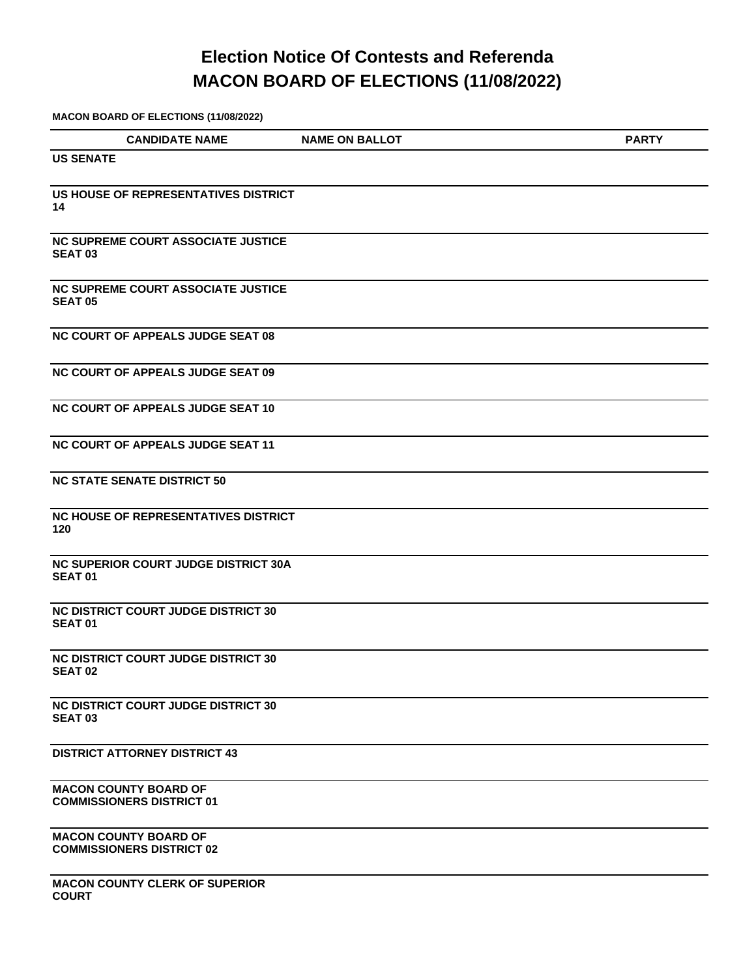# **Election Notice Of Contests and Referenda MACON BOARD OF ELECTIONS (11/08/2022)**

**MACON BOARD OF ELECTIONS (11/08/2022)**

| <b>CANDIDATE NAME</b>                                            | <b>NAME ON BALLOT</b> | <b>PARTY</b> |
|------------------------------------------------------------------|-----------------------|--------------|
| <b>US SENATE</b>                                                 |                       |              |
|                                                                  |                       |              |
| US HOUSE OF REPRESENTATIVES DISTRICT<br>14                       |                       |              |
|                                                                  |                       |              |
| <b>NC SUPREME COURT ASSOCIATE JUSTICE</b>                        |                       |              |
| <b>SEAT 03</b>                                                   |                       |              |
| <b>NC SUPREME COURT ASSOCIATE JUSTICE</b>                        |                       |              |
| <b>SEAT 05</b>                                                   |                       |              |
| <b>NC COURT OF APPEALS JUDGE SEAT 08</b>                         |                       |              |
|                                                                  |                       |              |
| <b>NC COURT OF APPEALS JUDGE SEAT 09</b>                         |                       |              |
|                                                                  |                       |              |
| NC COURT OF APPEALS JUDGE SEAT 10                                |                       |              |
| <b>NC COURT OF APPEALS JUDGE SEAT 11</b>                         |                       |              |
|                                                                  |                       |              |
| <b>NC STATE SENATE DISTRICT 50</b>                               |                       |              |
| <b>NC HOUSE OF REPRESENTATIVES DISTRICT</b>                      |                       |              |
| 120                                                              |                       |              |
| <b>NC SUPERIOR COURT JUDGE DISTRICT 30A</b>                      |                       |              |
| <b>SEAT01</b>                                                    |                       |              |
|                                                                  |                       |              |
| <b>NC DISTRICT COURT JUDGE DISTRICT 30</b><br><b>SEAT 01</b>     |                       |              |
|                                                                  |                       |              |
| <b>NC DISTRICT COURT JUDGE DISTRICT 30</b><br><b>SEAT 02</b>     |                       |              |
|                                                                  |                       |              |
| <b>NC DISTRICT COURT JUDGE DISTRICT 30</b><br><b>SEAT 03</b>     |                       |              |
|                                                                  |                       |              |
| <b>DISTRICT ATTORNEY DISTRICT 43</b>                             |                       |              |
|                                                                  |                       |              |
| <b>MACON COUNTY BOARD OF</b><br><b>COMMISSIONERS DISTRICT 01</b> |                       |              |
|                                                                  |                       |              |
| <b>MACON COUNTY BOARD OF</b><br><b>COMMISSIONERS DISTRICT 02</b> |                       |              |
|                                                                  |                       |              |

**MACON COUNTY CLERK OF SUPERIOR COURT**